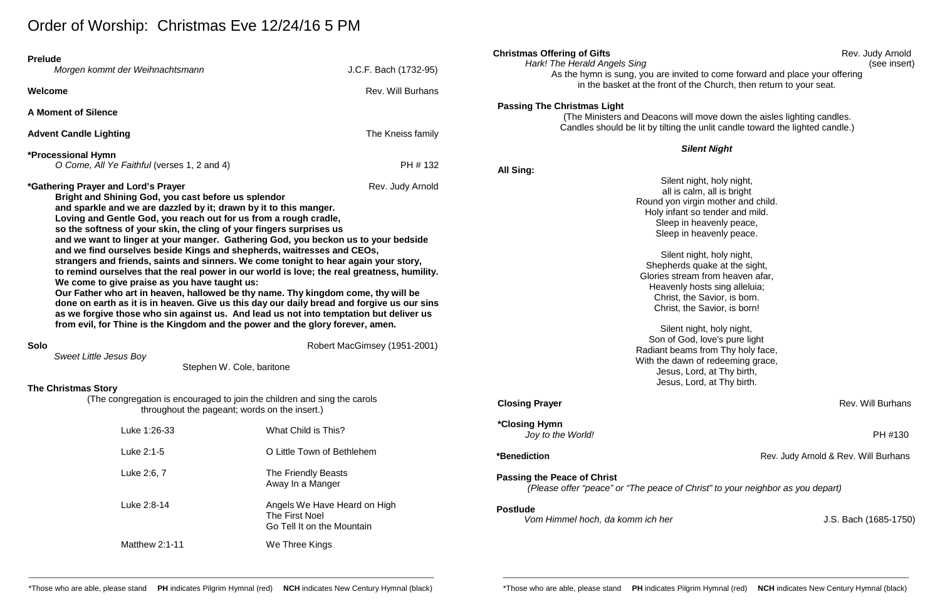# Order of Worship: Christmas Eve 12/24/16 5 PM

| <b>Prelude</b><br>Welcome                                                                                                                                                                                                                                                                                                                                                                                                                                                                                                                                                                                                                                                                                                                                                                                                                                                                                                                                                                                                                                                                                                                                                                                                   | Morgen kommt der Weihnachtsmann             | J.C.F. Bach (1732-95)<br><b>Rev. Will Burhans</b>                                                                                                                                                                                                                                                                                                                                                                                                                                                                                                                                               | <b>Christmas Offering of Gifts</b><br>Hark! The Herald Angels Sing<br>As the hymn is sung, you are invited to come forward and place your offering<br>in the basket at the front of the Church, then return to your seat. | Rev. Judy Arnok<br>(see inser        |
|-----------------------------------------------------------------------------------------------------------------------------------------------------------------------------------------------------------------------------------------------------------------------------------------------------------------------------------------------------------------------------------------------------------------------------------------------------------------------------------------------------------------------------------------------------------------------------------------------------------------------------------------------------------------------------------------------------------------------------------------------------------------------------------------------------------------------------------------------------------------------------------------------------------------------------------------------------------------------------------------------------------------------------------------------------------------------------------------------------------------------------------------------------------------------------------------------------------------------------|---------------------------------------------|-------------------------------------------------------------------------------------------------------------------------------------------------------------------------------------------------------------------------------------------------------------------------------------------------------------------------------------------------------------------------------------------------------------------------------------------------------------------------------------------------------------------------------------------------------------------------------------------------|---------------------------------------------------------------------------------------------------------------------------------------------------------------------------------------------------------------------------|--------------------------------------|
|                                                                                                                                                                                                                                                                                                                                                                                                                                                                                                                                                                                                                                                                                                                                                                                                                                                                                                                                                                                                                                                                                                                                                                                                                             |                                             |                                                                                                                                                                                                                                                                                                                                                                                                                                                                                                                                                                                                 | <b>Passing The Christmas Light</b>                                                                                                                                                                                        |                                      |
|                                                                                                                                                                                                                                                                                                                                                                                                                                                                                                                                                                                                                                                                                                                                                                                                                                                                                                                                                                                                                                                                                                                                                                                                                             | <b>A Moment of Silence</b>                  |                                                                                                                                                                                                                                                                                                                                                                                                                                                                                                                                                                                                 | (The Ministers and Deacons will move down the aisles lighting candles.                                                                                                                                                    |                                      |
| <b>Advent Candle Lighting</b>                                                                                                                                                                                                                                                                                                                                                                                                                                                                                                                                                                                                                                                                                                                                                                                                                                                                                                                                                                                                                                                                                                                                                                                               |                                             | The Kneiss family                                                                                                                                                                                                                                                                                                                                                                                                                                                                                                                                                                               | Candles should be lit by tilting the unlit candle toward the lighted candle.)                                                                                                                                             |                                      |
|                                                                                                                                                                                                                                                                                                                                                                                                                                                                                                                                                                                                                                                                                                                                                                                                                                                                                                                                                                                                                                                                                                                                                                                                                             | <b>*Processional Hymn</b>                   |                                                                                                                                                                                                                                                                                                                                                                                                                                                                                                                                                                                                 | <b>Silent Night</b>                                                                                                                                                                                                       |                                      |
|                                                                                                                                                                                                                                                                                                                                                                                                                                                                                                                                                                                                                                                                                                                                                                                                                                                                                                                                                                                                                                                                                                                                                                                                                             | O Come, All Ye Faithful (verses 1, 2 and 4) | PH # 132                                                                                                                                                                                                                                                                                                                                                                                                                                                                                                                                                                                        | <b>All Sing:</b>                                                                                                                                                                                                          |                                      |
| <i>*</i> Gathering Prayer and Lord's Prayer<br>Rev. Judy Arnold<br>Bright and Shining God, you cast before us splendor<br>and sparkle and we are dazzled by it; drawn by it to this manger.<br>Loving and Gentle God, you reach out for us from a rough cradle,<br>so the softness of your skin, the cling of your fingers surprises us<br>and we want to linger at your manger. Gathering God, you beckon us to your bedside<br>and we find ourselves beside Kings and shepherds, waitresses and CEOs,<br>strangers and friends, saints and sinners. We come tonight to hear again your story,<br>to remind ourselves that the real power in our world is love; the real greatness, humility.<br>We come to give praise as you have taught us:<br>Our Father who art in heaven, hallowed be thy name. Thy kingdom come, thy will be<br>done on earth as it is in heaven. Give us this day our daily bread and forgive us our sins<br>as we forgive those who sin against us. And lead us not into temptation but deliver us<br>from evil, for Thine is the Kingdom and the power and the glory forever, amen.<br>Robert MacGimsey (1951-2001)<br><b>Solo</b><br><b>Sweet Little Jesus Boy</b><br>Stephen W. Cole, baritone |                                             | Silent night, holy night,<br>all is calm, all is bright<br>Round yon virgin mother and child.<br>Holy infant so tender and mild.<br>Sleep in heavenly peace,<br>Sleep in heavenly peace.<br>Silent night, holy night,<br>Shepherds quake at the sight,<br>Glories stream from heaven afar,<br>Heavenly hosts sing alleluia;<br>Christ, the Savior, is born.<br>Christ, the Savior, is born!<br>Silent night, holy night,<br>Son of God, love's pure light<br>Radiant beams from Thy holy face,<br>With the dawn of redeeming grace,<br>Jesus, Lord, at Thy birth,<br>Jesus, Lord, at Thy birth. |                                                                                                                                                                                                                           |                                      |
| <b>The Christmas Story</b><br>(The congregation is encouraged to join the children and sing the carols<br>throughout the pageant; words on the insert.)                                                                                                                                                                                                                                                                                                                                                                                                                                                                                                                                                                                                                                                                                                                                                                                                                                                                                                                                                                                                                                                                     |                                             |                                                                                                                                                                                                                                                                                                                                                                                                                                                                                                                                                                                                 | <b>Closing Prayer</b>                                                                                                                                                                                                     | Rev. Will Burhans                    |
|                                                                                                                                                                                                                                                                                                                                                                                                                                                                                                                                                                                                                                                                                                                                                                                                                                                                                                                                                                                                                                                                                                                                                                                                                             | Luke 1:26-33                                | What Child is This?                                                                                                                                                                                                                                                                                                                                                                                                                                                                                                                                                                             | *Closing Hymn<br>Joy to the World!                                                                                                                                                                                        | PH #130                              |
|                                                                                                                                                                                                                                                                                                                                                                                                                                                                                                                                                                                                                                                                                                                                                                                                                                                                                                                                                                                                                                                                                                                                                                                                                             | Luke 2:1-5                                  | O Little Town of Bethlehem                                                                                                                                                                                                                                                                                                                                                                                                                                                                                                                                                                      | *Benediction                                                                                                                                                                                                              | Rev. Judy Arnold & Rev. Will Burhans |
|                                                                                                                                                                                                                                                                                                                                                                                                                                                                                                                                                                                                                                                                                                                                                                                                                                                                                                                                                                                                                                                                                                                                                                                                                             | Luke 2:6, 7                                 | The Friendly Beasts<br>Away In a Manger                                                                                                                                                                                                                                                                                                                                                                                                                                                                                                                                                         | <b>Passing the Peace of Christ</b><br>(Please offer "peace" or "The peace of Christ" to your neighbor as you depart)                                                                                                      |                                      |
|                                                                                                                                                                                                                                                                                                                                                                                                                                                                                                                                                                                                                                                                                                                                                                                                                                                                                                                                                                                                                                                                                                                                                                                                                             | Luke 2:8-14                                 | Angels We Have Heard on High<br><b>The First Noel</b><br>Go Tell It on the Mountain                                                                                                                                                                                                                                                                                                                                                                                                                                                                                                             | <b>Postlude</b><br>Vom Himmel hoch, da komm ich her                                                                                                                                                                       | J.S. Bach (1685-175                  |
|                                                                                                                                                                                                                                                                                                                                                                                                                                                                                                                                                                                                                                                                                                                                                                                                                                                                                                                                                                                                                                                                                                                                                                                                                             | Matthew 2:1-11                              | We Three Kings                                                                                                                                                                                                                                                                                                                                                                                                                                                                                                                                                                                  |                                                                                                                                                                                                                           |                                      |

# *Vom Himmel hoch, da komm ich her* J.S. Bach (1685-1750)

\_\_\_\_\_\_\_\_\_\_\_\_\_\_\_\_\_\_\_\_\_\_\_\_\_\_\_\_\_\_\_\_\_\_\_\_\_\_\_\_\_\_\_\_\_\_\_\_\_\_\_\_\_\_\_\_\_\_\_\_\_\_\_\_\_\_\_\_\_\_\_\_\_\_\_\_\_\_\_\_\_\_\_\_\_\_\_\_\_\_\_\_\_\_\_

## *<u>Ient Night</u>*

**Rev. Will Burhans** 

## Rev. Judy Arnold & Rev. Will Burhans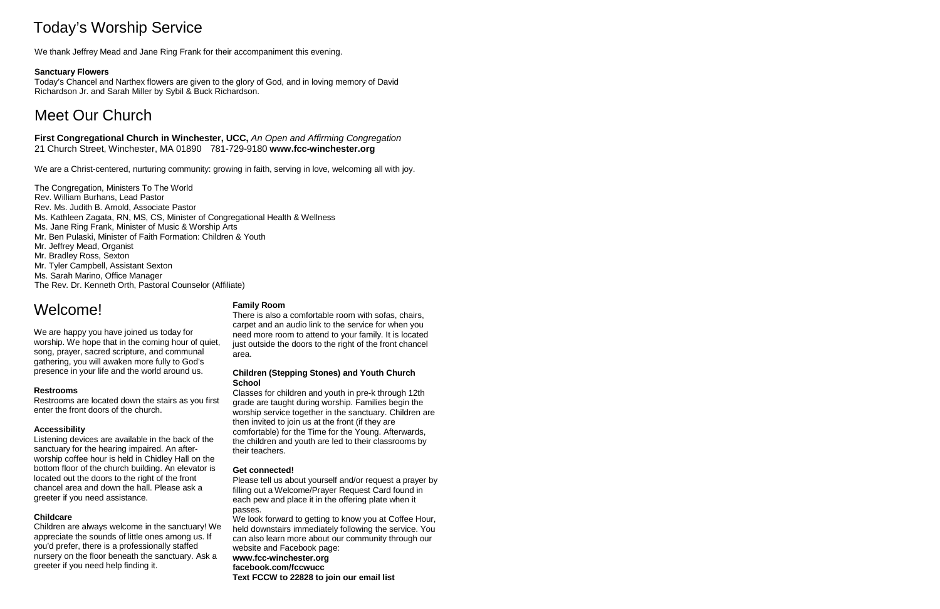# Today's Worship Service

We thank Jeffrey Mead and Jane Ring Frank for their accompaniment this evening.

### **Sanctuary Flowers**

Today's Chancel and Narthex flowers are given to the glory of God, and in loving memory of David Richardson Jr. and Sarah Miller by Sybil & Buck Richardson.

# Meet Our Church

**First Congregational Church in Winchester, UCC,** *An Open and Affirming Congregation* 21 Church Street, Winchester, MA 01890 781-729-9180 **[www.fcc-winchester.org](http://www.fcc-winchester.org/)**

We are a Christ-centered, nurturing community: growing in faith, serving in love, welcoming all with joy.

The Congregation, Ministers To The World Rev. William Burhans, Lead Pastor Rev. Ms. Judith B. Arnold, Associate Pastor Ms. Kathleen Zagata, RN, MS, CS, Minister of Congregational Health & Wellness Ms. Jane Ring Frank, Minister of Music & Worship Arts Mr. Ben Pulaski, Minister of Faith Formation: Children & Youth Mr. Jeffrey Mead, Organist Mr. Bradley Ross, Sexton Mr. Tyler Campbell, Assistant Sexton Ms. Sarah Marino, Office Manager The Rev. Dr. Kenneth Orth, Pastoral Counselor (Affiliate)

# Welcome!

We are happy you have joined us today for worship. We hope that in the coming hour of quiet, song, prayer, sacred scripture, and communal gathering, you will awaken more fully to God's presence in your life and the world around us.

#### **Restrooms**

Restrooms are located down the stairs as you first enter the front doors of the church.

### **Accessibility**

Listening devices are available in the back of the sanctuary for the hearing impaired. An afterworship coffee hour is held in Chidley Hall on the bottom floor of the church building. An elevator is located out the doors to the right of the front chancel area and down the hall. Please ask a greeter if you need assistance.

#### **Childcare**

Children are always welcome in the sanctuary! We appreciate the sounds of little ones among us. If you'd prefer, there is a professionally staffed nursery on the floor beneath the sanctuary. Ask a greeter if you need help finding it.

#### **Family Room**

There is also a comfortable room with sofas, chairs, carpet and an audio link to the service for when you need more room to attend to your family. It is located just outside the doors to the right of the front chancel area.

#### **Children (Stepping Stones) and Youth Church School**

Classes for children and youth in pre-k through 12th grade are taught during worship. Families begin the worship service together in the sanctuary. Children are then invited to join us at the front (if they are comfortable) for the Time for the Young. Afterwards, the children and youth are led to their classrooms by their teachers.

#### **Get connected!**

Please tell us about yourself and/or request a prayer by filling out a Welcome/Prayer Request Card found in each pew and place it in the offering plate when it passes.

We look forward to getting to know you at Coffee Hour, held downstairs immediately following the service. You can also learn more about our community through our website and Facebook page: **[www.fcc-winchester.org](http://www.fcc-winchester.org/) facebook.com/fccwucc**

**Text FCCW to 22828 to join our email list**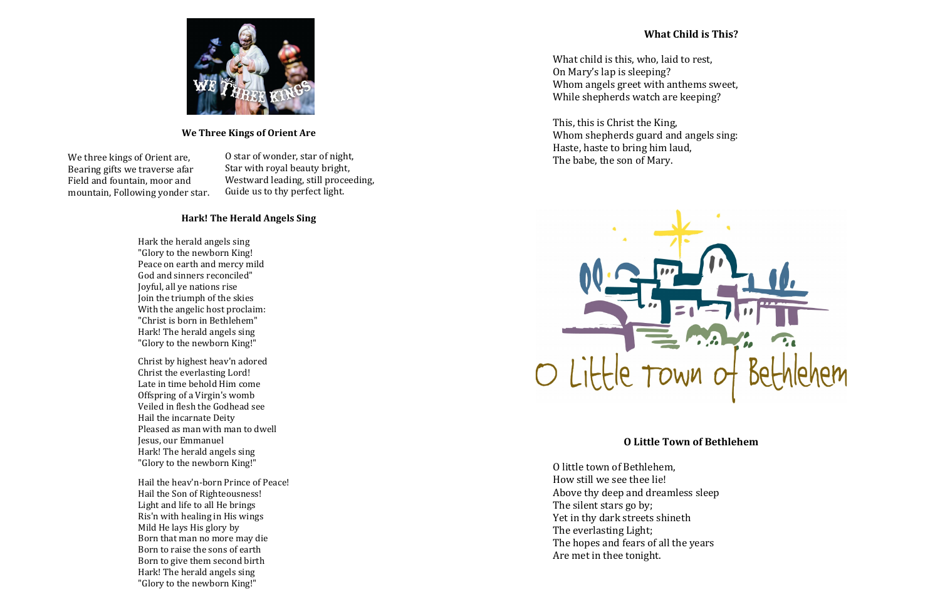## **We Three Kings of Orient Are**

O star of wonder, star of night, Star with royal beauty bright, Westward leading, still proceeding, Guide us to thy perfect light.

### **Hark! The Herald Angels Sing**

Hark the herald angels sing "Glory to the newborn King! Peace on earth and mercy mild God and sinners reconciled" Joyful, all ye nations rise Join the triumph of the skies With the angelic host proclaim: "Christ is born in Bethlehem" Hark! The herald angels sing "Glory to the newborn King!"

Christ by highest heav'n adored Christ the everlasting Lord! Late in time behold Him come Offspring of a Virgin's womb Veiled in flesh the Godhead see Hail the incarnate Deity Pleased as man with man to dwell Jesus, our Emmanuel Hark! The herald angels sing "Glory to the newborn King!"

Hail the heav'n-born Prince of Peace! Hail the Son of Righteousness! Light and life to all He brings Ris'n with healing in His wings Mild He lays His glory by Born that man no more may die Born to raise the sons of earth Born to give them second birth Hark! The herald angels sing "Glory to the newborn King!"

# **What Child is This?**



What child is this, who, laid to rest, On Mary's lap is sleeping? Whom angels greet with anthems sweet, While shepherds watch are keeping?

This, this is Christ the King, Whom shepherds guard and angels sing: Haste, haste to bring him laud, The babe, the son of Mary.



# **O Little Town of Bethlehem**

O little town of Bethlehem, How still we see thee lie! Above thy deep and dreamless sleep The silent stars go by; Yet in thy dark streets shineth The everlasting Light; The hopes and fears of all the years Are met in thee tonight.

We three kings of Orient are, Bearing gifts we traverse afar Field and fountain, moor and mountain, Following yonder star.